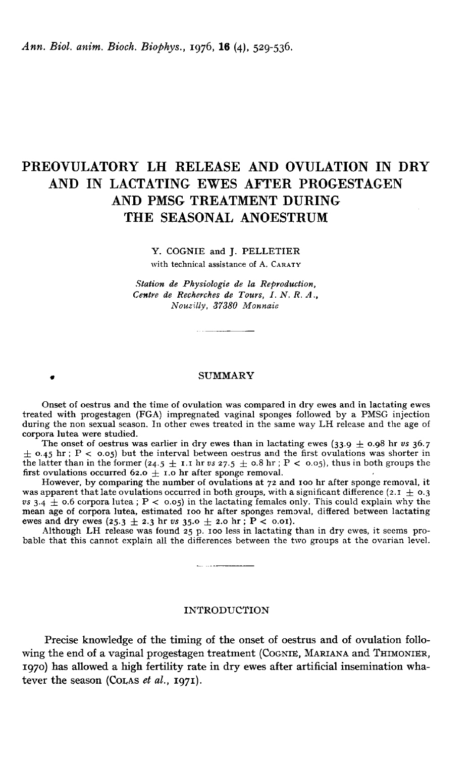Ann. Biol. anim. Bioch. Biophys., 1976, 16 (4), 529-536.

# PREOVULATORY LH RELEASE AND OVULATION IN DRY AND IN LACTATING EWES AFTER PROGESTAGEN AND PMSG TREATMENT DURING THE SEASONAL ANOESTRUM

Y. COGNIE and J. PELLETIER

with technical assistance of A. CARATY

Station de Physiologie de la Reproduction, Centre de Recherches de Tours, I. N. R. A., Nouzilly, 37380 Monnaie

# . SUMMARY

Onset of oestrus and the time of ovulation was compared in dry ewes and in lactating ewes treated with progestagen (FGA) impregnated vaginal sponges followed by a PMSG injection during the non sexual season. In other ewes treated in the same way LH release and the age of corpora lutea were studied. The onsexual season. In other ewes treated in the same way LH release and the age of<br>The onset of oestrus was earlier in dry ewes than in lactating ewes (33.9  $\pm$  0.98 hr vs 36.7<br>The onset of oestrus was earlier in herit

corpora lutea were studied.<br>
The onset of oestrus was earlier in dry ewes than in lactating ewes  $(33.9 \pm 0.98 \text{ hr} \text{ vs } 36.7)$ <br>  $\pm 0.45 \text{ hr} \cdot \text{P} < 0.05$ ) but the interval between oestrus and the first ovulations was s the latter than in the former (24.5  $\pm$  1.1 hr vs 27.5  $\pm$  0.8 hr ; P < 0.05) but the interval between oestrus and the first ovulations was shorter in the latter than in the former (24.5  $\pm$  1.1 hr vs 27.5  $\pm$  0.8 hr first ovulations occurred 62.0  $\pm$  1.0 hr after sponge removal.<br>However, by comparing the number of ovulations at 72 and 100 hr after sponge removal, it

was apparent that late ovulations occurred in both groups, with a significant difference (2.1  $\pm$  0.3)  $vs$  3.4  $\pm$  0.6 corpora lutea ; P < 0.05) in the lactating females only. This could explain why the mean age of corpora lutea, estimated 100 hr after sponges removal, differed between lactating was apparent that late ovulations occurred in both groups, with a significant difference  $(2.1 \pm 0.3 \text{ s} + 3.4 \pm 0.6 \text{ corpora}$  lutea;  $P < 0.05$ ) in the lactating females only. This could explain why the mean age of corpora l

bable that this cannot explain all the differences between the two groups at the ovarian level.

- ...----

# INTRODUCTION

Precise knowledge of the timing of the onset of oestrus and of ovulation following the end of a vaginal progestagen treatment (COGNIE, MARIANA and THIMONIER, 1970) has allowed a high fertility rate in dry ewes after artificial insemination whatever the season (COLAS  $et al., 1971$ ).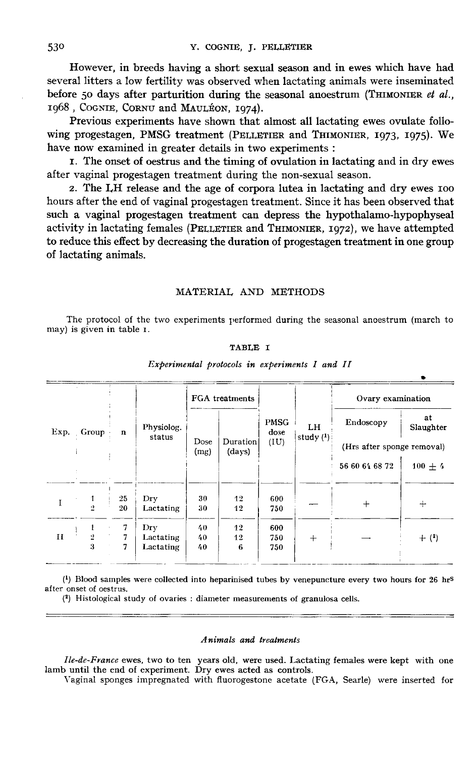However, in breeds having a short sexual season and in ewes which have had several litters a low fertility was observed when lactating animals were inseminated before 50 days after parturition during the seasonal anoestrum (THIMONIER et al., references in breeds having a short sexual<br>several litters a low fertility was observed when<br>before 50 days after parturition during the sea<br>1968, COGNIE, CORNU and MAULÉON, 1974).<br>Previous experiments have shown that alm

Previous experiments have shown that almost all lactating ewes ovulate following progestagen, PMSG treatment (PELLETIER and THIMONIER, 1973, 1975). We have now examined in greater details in two experiments :

t. The onset of oestrus and the timing of ovulation in lactating and in dry ewes after vaginal progestagen treatment during the non-sexual season.

2. The LH release and the age of corpora lutea in lactating and dry ewes ioo hours after the end of vaginal progestagen treatment. Since it has been observed that such a vaginal progestagen treatment can depress the hypothalamo-hypophyseal 1. The onset of oestrus and the timing of ovulation in factating and in dry ewes<br>after vaginal progestagen treatment during the non-sexual season.<br>2. The LH release and the age of corpora lutea in lactating and dry ewes 10 to reduce this effect by decreasing the duration of progestagen treatment in one group of lactating animals.

# MATERIAL AND METHODS

The protocol of the two experiments performed during the seasonal anoestrum (march to may) is given in table i.

### TABLE I

| Exp.         |              |             | Physiolog.<br>status          | FGA treatments |                    |                             |                    | Ovary examination          |                 |
|--------------|--------------|-------------|-------------------------------|----------------|--------------------|-----------------------------|--------------------|----------------------------|-----------------|
|              | Group        | $\mathbf n$ |                               |                | Duration<br>(days) | <b>PMSG</b><br>dose<br>(IU) | LH.<br>study $(1)$ | Endoscopy                  | at<br>Slaughter |
|              |              |             |                               | Dose<br>(mg)   |                    |                             |                    | (Hrs after sponge removal) |                 |
|              |              |             |                               |                |                    |                             |                    | 56 60 64 68 72             | $100 + 4$       |
| 1            | 1<br>2       | 25<br>20    | Dry<br>Lactating              | 30<br>30       | 12<br>12           | 600<br>750                  |                    | $+$                        | $^{+}$          |
| $\mathbf{H}$ | $\cdot$<br>3 | 7<br>7<br>7 | Dry<br>Lactating<br>Lactating | 40<br>40<br>40 | 12<br>12<br>6      | 600<br>750<br>750           | $^{+}$             |                            | $+$ (2)         |

#### Experimental protocols in experiments I and II

 $(1)$  Blood samples were collected into heparinised tubes by venepuncture every two hours for 26 hrs after onset of oestrus.

(2) Histological study of ovaries : diameter measurements of granulosa cells.

#### .4nimals and treatments

Ile-de-France ewes, two to ten years old, were used. Lactating females were kept with one lamb until the end of experiment. Dry ewes acted as controls.

Vaginal sponges impregnated with fluorogestone acetate (FGA, Searle) were inserted for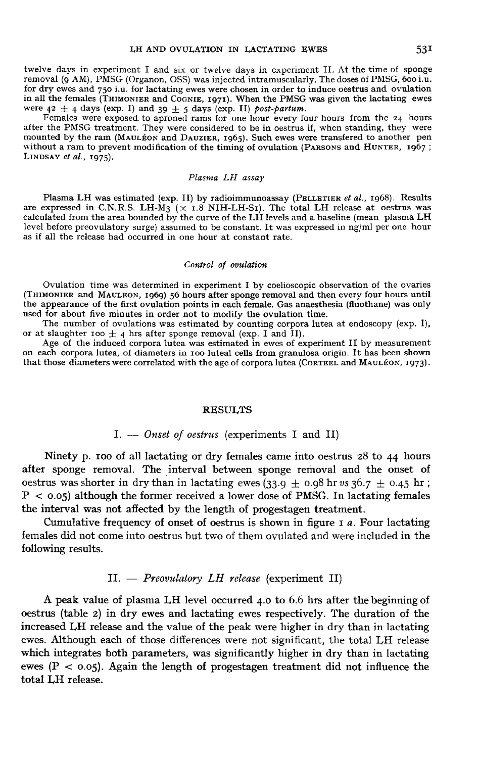twelve days in experiment I and six or twelve days in experiment II. At the time of sponge removal (9 AM), PMSG (Organon, OSS) was injected intramuscularly. The doses of PMSG, 600 i.u. for dry ewes and 750 i.u. for lactating ewes were chosen in order to induce oestrus and ovulation in all the females (THIMONIER and COGNIE, 1971). When the PMSG was given the lactating ewes LH AND OVULATION IN LACTATING EWES 531<br>twelve days in experiment I and six or twelve days in experiment II. At the time of sponge<br>removal (9 AM), PMSG (Organon, OSS) was injected intramuscularly. The doses of PMSG, 600 i.

after the PMSG treatment. They were considered to be in oestrus if, when standing, they were without a ram to prevent modification of the timing of ovulation (PARSONS and HUNTER, 1967; Females were exacted Females were exacted after the PMSG treat<br>mounted by the ram<br>without a ram to pre<br>LINDSAY *et al.*, 1975). mounted by the ram (MAULÉON and DAUZIER, 1965). Such ewes were transfered to another pen without a ram to prevent modification of the timing of ovulation (PARSONS and HUNTER, 1967; LINDSAY *et al.*, 1975).

# Plasma LH assay

Plasma LH was estimated (exp. II) by radioimmunoassay (PELLETIER et al., 1968). Results are expressed in C.N.R.S. LH- $\dot{M}$ 3 ( $\times$  1.8 NIH-LH-SI). The total LH release at oestrus was calculated from the area bounded by the curve of the LH levels and a baseline (mean plasma LH level before preovulatory surge) assumed to be constant. It was expressed in ng/ml per one hour as if all the release had occurred in one hour at constant rate.

#### Control of ovulation

Ovulation time was determined in experiment I by coelioscopic observation of the ovaries Control of ovulation<br>
Control of ovulation<br>
(THIMONIER and MAULEON, 1969) 56 hours after sponge removal and then every four hours until<br>
the appearance of the first ovulation points in each female. Gas anaesthesia (fluotha used for about five minutes in order not to modify the ovulation time.

The number of ovulations was estimated by counting corpora lutea at endoscopy (exp. I), or at slaughter 100  $\pm$  4 hrs after sponge removal (exp. I and II).

Age of the induced corpora lutea was estimated in ewes of experiment II by measurement on each corpora lutea, of diameters in 100 luteal cells from granulosa origin. It has been shown that those diameters were correlated with the age of corpora lutea (CORTEEL and MAULÉON, 1973).

## RESULTS

# $I. -$  Onset of oestrus (experiments I and II)

Ninety p. Ioo of all lactating or dry females came into oestrus 28 to 44 hours after sponge removal. The interval between sponge removal and the onset of Ninety p. 100 of all lactating or dry females came into oestrus 28 to 44 hours<br>after sponge removal. The interval between sponge removal and the onset of<br>oestrus was shorter in dry than in lactating ewes (33.9  $\pm$  0.98 h oestrus was shorter in dry than in lactating ewes  $(33.9 \pm 0.98 \text{ hr} \, \text{vs} \, 36.7 \pm 0.45 \text{ hr})$ <br>P < 0.05) although the former received a lower dose of PMSG. In lactating females the interval was not affected by the length of progestagen treatment.

Cumulative frequency of onset of oestrus is shown in figure  $I$  a. Four lactating females did not come into oestrus but two of them ovulated and were included in the following results.

# $II. - Preovulatory LH release (experiment II)$

A peak value of plasma LH level occurred 4.0 to 6.6 hrs after the beginning of oestrus (table 2) in dry ewes and lactating ewes respectively. The duration of the increased LH release and the value of the peak were higher in dry than in lactating ewes. Although each of those differences were not significant, the total LH release which integrates both parameters, was significantly higher in dry than in lactating ewes ( $P < 0.05$ ). Again the length of progestagen treatment did not influence the total LH release.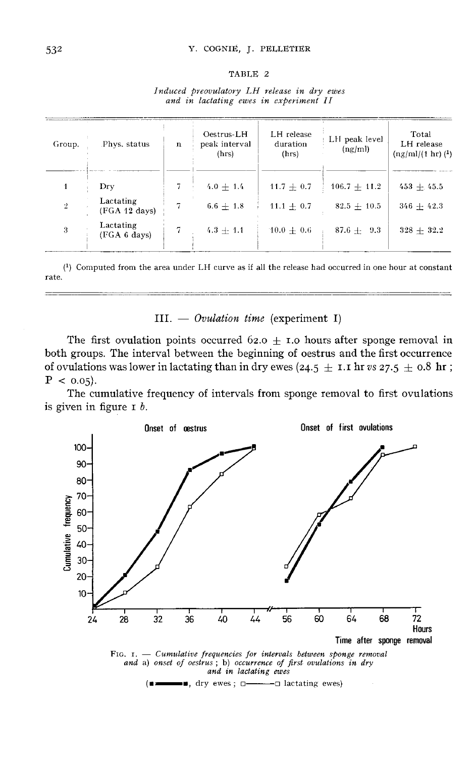# Y. COGNIE, J. PELLETIER

#### TABLE 2

|  | Induced preovulatory LH release in dry ewes |  |  |  |
|--|---------------------------------------------|--|--|--|
|  | and in lactating ewes in experiment II      |  |  |  |

| Group.               | Phys. status               | $\mathbf n$ | Oestrus-LH<br>peak interval<br>(hrs) | LH release<br>duration<br>(hrs) | LH peak level<br>(ng/ml) | Total<br>LH release<br>$\frac{\text{ln}t}{1 \text{ ln}}$ (1) |
|----------------------|----------------------------|-------------|--------------------------------------|---------------------------------|--------------------------|--------------------------------------------------------------|
|                      | Dry                        | 7.          | $4.0 + 1.4$                          | $11.7 + 0.7$                    | $106.7 + 11.2$           | $453 + 45.5$                                                 |
| $\cdot$ <sup>2</sup> | Lactating<br>(FGA 12 days) | 7           | $6.6 + 1.8$                          | $11.1 + 0.7$                    | $82.5 + 10.5$            | $346 + 42.3$                                                 |
| 3                    | Lactating<br>(FGA 6 days)  | 7           | $4.3 + 1.1$                          | $10.0 + 0.6$                    | $87.6 + 9.3$             | $328 + 32.2$                                                 |

 $(1)$  Computed from the area under LH curve as if all the release had occurred in one hour at constant rate.

III.  $-$  Ovulation time (experiment I)

The first ovulation points occurred 62.0  $\pm$  1.0 hours after sponge removal in both groups. The interval between the beginning of oestrus and the first occurrence of ovulations was lower in lactating than in dry ewes (24.5  $\pm$  1.1 hr vs 27.5  $\pm$  0.8 hr;  $P < 0.05$ ).

The cumulative frequency of intervals from sponge removal to first ovulations is given in figure  $I$  b.



 $(\blacksquare \blacksquare \blacksquare \blacksquare \blacksquare, \text{ dry ewes}; \square \blacksquare \blacksquare \blacksquare \blacksquare \text{lactating ewes})$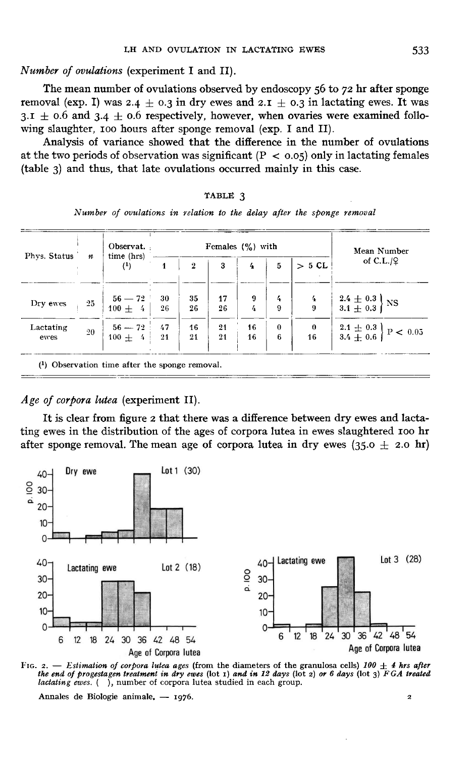Number of ovulations (experiment I and II).

The mean number of ovulations observed by endoscopy 56 to 72 hr after sponge The mean number of ovulations observed by endoscopy 56 to 72 hr after sponge<br>removal (exp. I) was 2.4  $\pm$  0.3 in dry ewes and 2.1  $\pm$  0.3 in lactating ewes. It was<br> $2.1 + 0.6$  and 2.4  $\pm$  0.6 repectively bowever, when e The mean number of ovulations observed by endoscopy 56 to 72 hr after sponge<br>removal (exp. I) was 2.4  $\pm$  0.3 in dry ewes and 2.1  $\pm$  0.3 in lactating ewes. It was<br>3.1  $\pm$  0.6 and 3.4  $\pm$  0.6 respectively, however, wh wing slaughter, 100 hours after sponge removal (exp. I and II).

Analysis of variance showed that the difference in the number of ovulations at the two periods of observation was significant  $(P < 0.05)$  only in lactating females (table 3) and thus, that late ovulations occurred mainly in this case.

| к | ۱ |  |
|---|---|--|
|   |   |  |

Number of ovulations in relation to the delay after the sponge removal

|                   | $\boldsymbol{n}$ | Observat.<br>time (hrs)<br>$^{(1)}$                                   | Females $(\frac{9}{6})$ with |                 |              |                                                     |                                 |               | Mean Number                                                                   |
|-------------------|------------------|-----------------------------------------------------------------------|------------------------------|-----------------|--------------|-----------------------------------------------------|---------------------------------|---------------|-------------------------------------------------------------------------------|
| Phys. Status      |                  |                                                                       | 1                            | $\overline{2}$  | $\mathbf{3}$ | 4                                                   | 5                               | > 5 CL        | of $C.L./9$                                                                   |
| Dry ewes          | 25               | $\begin{array}{r c} 56-72 & 30 \ \hline 100+ & 4 & 26 \end{array}$    |                              | 35<br>26        | 17<br>26     | $\frac{9}{4}$                                       | $\frac{4}{9}$                   | $\frac{4}{9}$ | $\left[\begin{array}{l} 2.4 \pm 0.3\ 3.1 \pm 0.3 \end{array}\right]$ NS       |
| Lactating<br>ewes | 20               | $\begin{array}{r c} 56-72 & 47 \ \hline 100 \pm & 4 & 21 \end{array}$ |                              | $\frac{16}{21}$ |              | $\begin{array}{c c} 21 & 16 \\ 21 & 16 \end{array}$ | $\begin{matrix}0\6\end{matrix}$ |               | $\begin{array}{c c} 0 & 2.1 \pm 0.3 \\ 16 & 3.4 \pm 0.6 \end{array}$ P < 0.05 |

# Age of corpora lutea (experiment II).

It is clear from figure 2 that there was a difference between dry ewes and lactating ewes in the distribution of the ages of corpora lutea in ewes slaughtered Ioo hr after sponge removal. The mean age of corpora lutea in dry ewes (35.0  $\pm$  2.0 hr)



FIG. 2. - Estimation of corpora lutea ages (from the diameters of the granulosa cells) 100  $\pm$  4 hrs after the end of progestagen treatment in dry ewes (lot  $x$ ) and in 12 days (lot  $z$ ) or 6 days (lot  $y$ ) FGA treated lactating ewes. (), number of corpora lutea studied in each group.

Annales de Biologie animale, - 1976.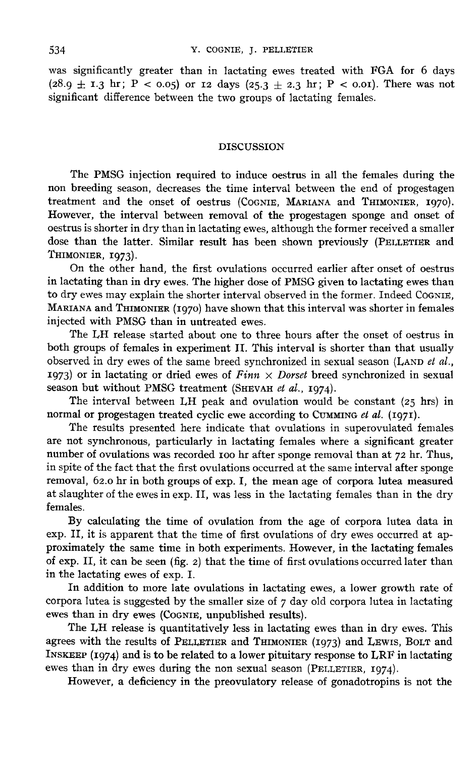was significantly greater than in lactating ewes treated with FGA for 6 days  $(28.9 \pm I.3 \text{ hr}; P < 0.05)$  or 12 days  $(25.3 \pm 2.3 \text{ hr}; P < 0.01)$ . There was not significant difference between the two groups of lactating females.

# DISCUSSION

The PMSG injection required to induce oestrus in all the females during the non breeding season, decreases the time interval between the end of progestagen The PMSG injection required to induce oestrus in all the females during the<br>non breeding season, decreases the time interval between the end of progestagen<br>treatment and the onset of oestrus (COGNIE, MARIANA and THIMONIER, However, the interval between removal of the progestagen sponge and onset of oestrus is shorter in dry than in lactating ewes, although the former received a smaller treatment and the onset of oestrus (COGNIE, MARIANA and THIMONIER, 1970).<br>However, the interval between removal of the progestagen sponge and onset of oestrus is shorter in dry than in lactating ewes, although the former r dose than the latter. Similar result has been shown previously (PELLETIER and oestrus is shorter in<br>dose than the lat<br>THIMONIER, 1973).<br>On the other

On the other hand, the first ovulations occurred earlier after onset of oestrus in lactating than in dry ewes. The higher dose of PMSG given to lactating ewes than to dry ewes may explain the shorter interval observed in the former. Indeed COGNIE,<br>MARIANA and THIMONIER (1970) have shown that this interval was shorter in females dose than the latter. Similar result has been shown previously (PELLETIER and THIMONIER, 1973).<br>THIMONIER, 1973).<br>In lactating than in dry ewes. The higher dose of PMSG given to lactating ewes than<br>to dry ewes may explain injected with PMSG than in untreated ewes.

The I,H release started about one to three hours after the onset of oestrus in both groups of females in experiment II. This interval is shorter than that usually<br>observed in dry ewes of the same breed synchronized in sexual season (LAND *et al.*,<br>1973) or in lactating an dried sume of *Einm X* Dewe observed in dry ewes of the same breed synchronized in sexual season (LAND *et al.*, 1973) or in lactating or dried ewes of  $Finn \times Dorset$  breed synchronized in sexual season but without PMSG treatment (SHEVAH et al., 1974). observed in dry ewes of the same breed synchronized in sexual season (LAN)<br>1973) or in lactating or dried ewes of  $Finn \times Dorset$  breed synchronized in<br>season but without PMSG treatment (SHEVAH *et al.*, 1974).<br>The interval bet

The interval between LH peak and ovulation would be constant  $(25 \text{ hrs})$  in

The results presented here indicate that ovulations in superovulated females are not synchronous, particularly in lactating females where a significant greater number of ovulations was recorded Ioo hr after sponge removal than at 72 hr. Thus, in spite of the fact that the first ovulations occurred at the same interval after sponge removal, 62.o hr in both groups of exp. I, the mean age of corpora lutea measured at slaughter of the ewes in exp. II, was less in the lactating females than in the dry females.

By calculating the time of ovulation from the age of corpora lutea data in exp. II, it is apparent that the time of first ovulations of dry ewes occurred at approximately the same time in both experiments. However, in the lactating females of exp. II, it can be seen (fig. 2) that the time of first ovulations occurred later than in the lactating ewes of exp. I.

In addition to more late ovulations in lactating ewes, a lower growth rate of corpora lutea is suggested by the smaller size of  $7$  day old corpora lutea in lactating in the lactating ewes of exp. I.<br>
In addition to more late ovulations in lactating ewes, a lower growth rate of<br>
corpora lutea is suggested by the smaller size of 7 day old corpora lutea in lactating<br>
ewes than in dry ewe

agrees with the results of PELLETIER and THIMONIER (1973) and LEWIS , BOLT and INSKEEP (1974) and is to be related to a lower pituitary response to LRF in lactating INSKEEP (1974) and is to be related to a lower pituitary INSK EP(1974) and is to be related to a lower pituitary response to LRF in lactating ewes than in dry ewes with the results of PELLETIER and THIMONIER (1973) and LEWIS, BOLT and INSKEEP (1974) and is to be related to a low

However, a deficiency in the preovulatory release of gonadotropins is not the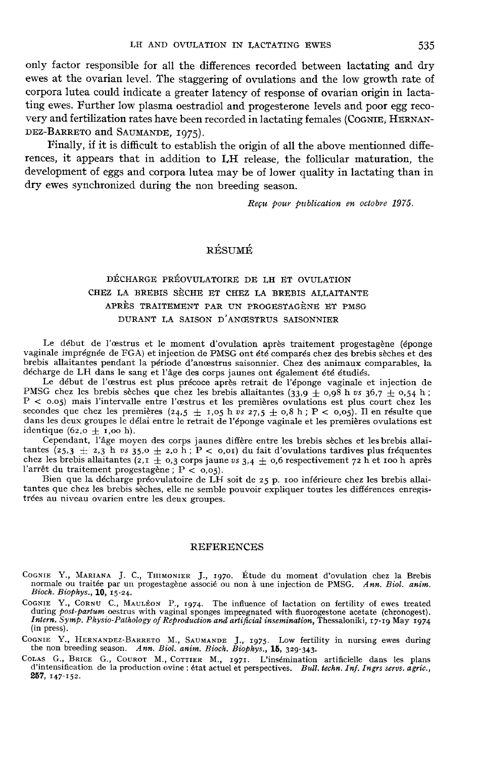only factor responsible for all the differences recorded between lactating and dry ewes at the ovarian level. The staggering of ovulations and the low growth rate of corpora lutea could indicate a greater latency of response of ovarian origin in lactating ewes. Further low plasma oestradiol and progesterone levels and poor egg recovery and fertilization only ractor responsible for all the differences recorded between lactating and dry<br>ewes at the ovarian level. The staggering of ovulations and the low growth rate of<br>corpora lutea could indicate a greater latency of respon and SAUMANDE, r975)·

Finally, if it is difficult to establish the origin of all the above mentionned differences, it appears that in addition to I,H release, the follicular maturation, the development of eggs and corpora lutea may be of lower quality in lactating than in dry ewes synchronized during the non breeding season.

Recu pour publication en octobre 1975.

# RÉSUMÉ

# DÉCHARGE PRÉOVULATOIRE DE LH ET OVULATION CHEZ LA BREBIS SÈCHE ET CHEZ LA BREBIS ALLAITANTE APRÈS TRAITEMENT PAR UN PPOGESTAGÈNT ET PMSG DURANT LA SAISON D'ANŒSTRUS SAISONNIER

Le début de l'oestrus et le moment d'ovulation après traitement progestagène (éponge vaginale imprégnée de FGA) et injection de PMSG ont été comparés chez des brebis sèches et des brebis allaitantes pendant la période d'anoestrus saisonnier. Chez des animaux comparables, la décharge de LH dans le sang et l'âge des corps jaunes ont également été étudiés.

Le début de l'oestrus est plus précoce après retrait de l'éponge vaginale et injection de PMSG chez les brebis sèches que chez les brebis allaitantes ( $33.9 \pm 0.98$  h vs  $36.7 \pm 0.54$  h; P < 0.05) mais l'intervalle entre l'œstrus et les premières ovulations est plus court chez les Le début de l'astrus est plus précoce après retrait de l'éponge vaginale et injection de<br>PMSG chez les brebis sèches que chez les brebis allaitantes (33,9  $\pm$  0,98 h vs 36,7  $\pm$  0,54 h;<br> $P < 0.05$ ) mais l'intervalle entr F < 0.05) mais l'intervalisement<br>Secondes que chez les predans les deux groupes le d<br>identique (62,0  $\pm$  1,00 h).<br>Cependant, l'âge moy

Cependant, l'âge moyen des corps jaunes diffère entre les brebis sèches et les brebis allaiseconds que chez les premières (24,5 ± 1,05 n vs 27,5 ± 0,6 n ;  $P < 0.05$ ). Il en resulte que<br>dans les deux groupes le délai entre le retrait de l'éponge vaginale et les premières ovulations est<br>identique (62,0 ± 1,00 h).

chez les brebis allaitantes  $(2, I \pm 0, 3)$  corps jaune vs  $3,4 \pm 0,6$  respectivement  $72$  h et 100 h après l'arrêt du traitement progestagène ;  $P < 0,05$ ).<br>Bien que la décharge préovulatoire de LH soit de  $25$  p. 100 infé

### REFERENCES

- COGNIE Y., MARIANA J. C., THIMONIER J., 1970. Étude du moment d'ovulation chez la Brebis normale ou traitée par un progestagène associé ou non à une injection de PMSG. Ann. Biol. anim. Bioch. Biophys., 10, 15-24. COGNIE Y. COGNIE Y., MARIANA J. C., THIMONIER J., 1970. Étude du moment d'ovulation chez la Brebis<br>normale ou traitée par un progestagène associé ou non à une injection de PMSG. Ann. Biol. anim.<br>Bioch. Biophys., 10, 15-24.<br>COGNIE Y.
- GNIE Y., CORNU C., MAULÉON P., 1974. The influence of lactation on fertility of ewes treated during post-partum oestrus with vaginal sponges impregnated with fluorogestone acetate (chronogest). Intern. Symp. Physio-Patholo REFERENCES<br>
COGNIE Y., MARIANA J. C., THIMONIER J., 1970. Étude du moment d'ovulation chez la Brebis<br>
normale ou traitée par un progestagène associé ou non à une injection de PMSG. Ann. Biol. anim.<br>
Bioch. Biophys., 10, 15